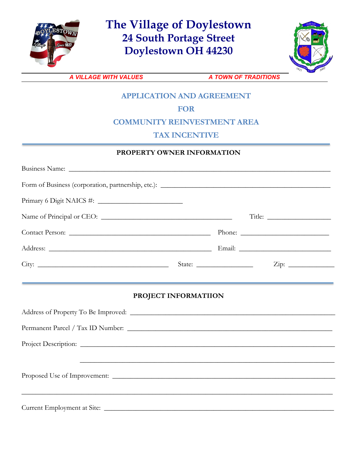

**The Village of Doylestown 24 South Portage Street Doylestown OH 44230**



**A VILLAGE WITH VALUES A TOWN OF TRADITIONS** 

# **APPLICATION AND AGREEMENT**

# **FOR**

### **COMMUNITY REINVESTMENT AREA**

## **TAX INCENTIVE**

#### **PROPERTY OWNER INFORMATION**

| PROJECT INFORMATIION                                                              |  |  |  |  |  |
|-----------------------------------------------------------------------------------|--|--|--|--|--|
|                                                                                   |  |  |  |  |  |
| ,我们也不能在这里的人,我们也不能在这里的人,我们也不能在这里的人,我们也不能在这里的人,我们也不能在这里的人,我们也不能在这里的人,我们也不能在这里的人,我们也 |  |  |  |  |  |
|                                                                                   |  |  |  |  |  |
|                                                                                   |  |  |  |  |  |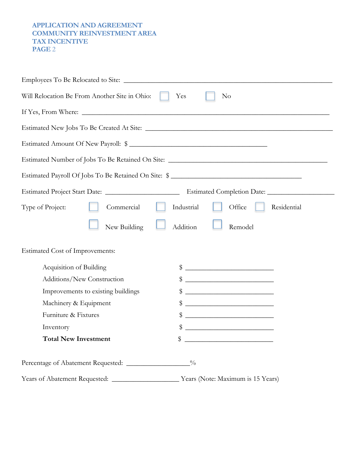#### **APPLICATION AND AGREEMENT COMMUNITY REINVESTMENT AREA TAX INCENTIVE PAGE** 2

| Will Relocation Be From Another Site in Ohio:           | Yes<br>$\rm No$                                                                                                                                                                                                                                                                                                     |
|---------------------------------------------------------|---------------------------------------------------------------------------------------------------------------------------------------------------------------------------------------------------------------------------------------------------------------------------------------------------------------------|
|                                                         |                                                                                                                                                                                                                                                                                                                     |
|                                                         |                                                                                                                                                                                                                                                                                                                     |
| Estimated Amount Of New Payroll: \$                     |                                                                                                                                                                                                                                                                                                                     |
|                                                         | Estimated Number of Jobs To Be Retained On Site: ________________________________                                                                                                                                                                                                                                   |
| Estimated Payroll Of Jobs To Be Retained On Site: \$    |                                                                                                                                                                                                                                                                                                                     |
|                                                         |                                                                                                                                                                                                                                                                                                                     |
| Type of Project:<br>Commercial                          | Office<br>Industrial<br>Residential                                                                                                                                                                                                                                                                                 |
| New Building                                            | Addition<br>Remodel                                                                                                                                                                                                                                                                                                 |
| <b>Estimated Cost of Improvements:</b>                  |                                                                                                                                                                                                                                                                                                                     |
| Acquisition of Building                                 | $\frac{1}{2}$ $\frac{1}{2}$ $\frac{1}{2}$ $\frac{1}{2}$ $\frac{1}{2}$ $\frac{1}{2}$ $\frac{1}{2}$ $\frac{1}{2}$ $\frac{1}{2}$ $\frac{1}{2}$ $\frac{1}{2}$ $\frac{1}{2}$ $\frac{1}{2}$ $\frac{1}{2}$ $\frac{1}{2}$ $\frac{1}{2}$ $\frac{1}{2}$ $\frac{1}{2}$ $\frac{1}{2}$ $\frac{1}{2}$ $\frac{1}{2}$ $\frac{1}{2}$ |
| Additions/New Construction                              | $\frac{1}{2}$ $\frac{1}{2}$ $\frac{1}{2}$ $\frac{1}{2}$ $\frac{1}{2}$ $\frac{1}{2}$ $\frac{1}{2}$ $\frac{1}{2}$ $\frac{1}{2}$ $\frac{1}{2}$ $\frac{1}{2}$ $\frac{1}{2}$ $\frac{1}{2}$ $\frac{1}{2}$ $\frac{1}{2}$ $\frac{1}{2}$ $\frac{1}{2}$ $\frac{1}{2}$ $\frac{1}{2}$ $\frac{1}{2}$ $\frac{1}{2}$ $\frac{1}{2}$ |
| Improvements to existing buildings                      | $\frac{1}{2}$ $\frac{1}{2}$ $\frac{1}{2}$ $\frac{1}{2}$ $\frac{1}{2}$ $\frac{1}{2}$ $\frac{1}{2}$ $\frac{1}{2}$ $\frac{1}{2}$ $\frac{1}{2}$ $\frac{1}{2}$ $\frac{1}{2}$ $\frac{1}{2}$ $\frac{1}{2}$ $\frac{1}{2}$ $\frac{1}{2}$ $\frac{1}{2}$ $\frac{1}{2}$ $\frac{1}{2}$ $\frac{1}{2}$ $\frac{1}{2}$ $\frac{1}{2}$ |
| Machinery & Equipment                                   | $\frac{1}{2}$ $\frac{1}{2}$ $\frac{1}{2}$ $\frac{1}{2}$ $\frac{1}{2}$ $\frac{1}{2}$ $\frac{1}{2}$ $\frac{1}{2}$ $\frac{1}{2}$ $\frac{1}{2}$ $\frac{1}{2}$ $\frac{1}{2}$ $\frac{1}{2}$ $\frac{1}{2}$ $\frac{1}{2}$ $\frac{1}{2}$ $\frac{1}{2}$ $\frac{1}{2}$ $\frac{1}{2}$ $\frac{1}{2}$ $\frac{1}{2}$ $\frac{1}{2}$ |
| Furniture & Fixtures                                    | \$<br><u> 1989 - Johann Harry Harry Harry Harry Harry Harry Harry Harry Harry Harry Harry Harry Harry Harry Harry Harry</u>                                                                                                                                                                                         |
| Inventory                                               | \$                                                                                                                                                                                                                                                                                                                  |
| <b>Total New Investment</b>                             | \$<br><u> 1989 - Johann Barbara, martxa alemaniar a</u>                                                                                                                                                                                                                                                             |
| Percentage of Abatement Requested: ___________________% |                                                                                                                                                                                                                                                                                                                     |
|                                                         |                                                                                                                                                                                                                                                                                                                     |